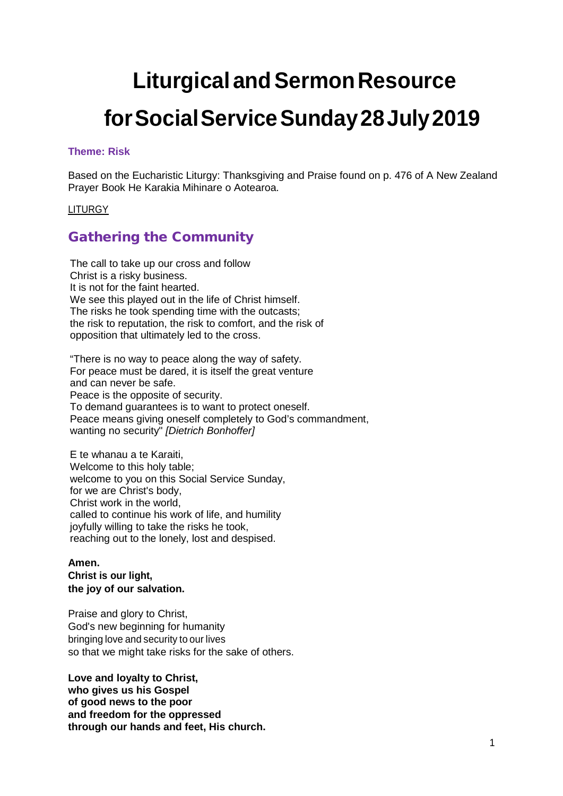# **Liturgical and Sermon Resource forSocialServiceSunday28July2019**

### **Theme: Risk**

Based on the Eucharistic Liturgy: Thanksgiving and Praise found on p. 476 of A New Zealand Prayer Book He Karakia Mihinare o Aotearoa.

### LITURGY

### Gathering the Community

The call to take up our cross and follow Christ is a risky business. It is not for the faint hearted. We see this played out in the life of Christ himself. The risks he took spending time with the outcasts; the risk to reputation, the risk to comfort, and the risk of opposition that ultimately led to the cross.

"There is no way to peace along the way of safety. For peace must be dared, it is itself the great venture and can never be safe. Peace is the opposite of security. To demand guarantees is to want to protect oneself. Peace means giving oneself completely to God's commandment, wanting no security" *[Dietrich Bonhoffer]*

E te whanau a te Karaiti, Welcome to this holy table; welcome to you on this Social Service Sunday, for we are Christ's body, Christ work in the world, called to continue his work of life, and humility joyfully willing to take the risks he took, reaching out to the lonely, lost and despised.

### **Amen. Christ is our light, the joy of our salvation.**

Praise and glory to Christ, God's new beginning for humanity bringing love and security to our lives so that we might take risks for the sake of others.

**Love and loyalty to Christ, who gives us his Gospel of good news to the poor and freedom for the oppressed through our hands and feet, His church.**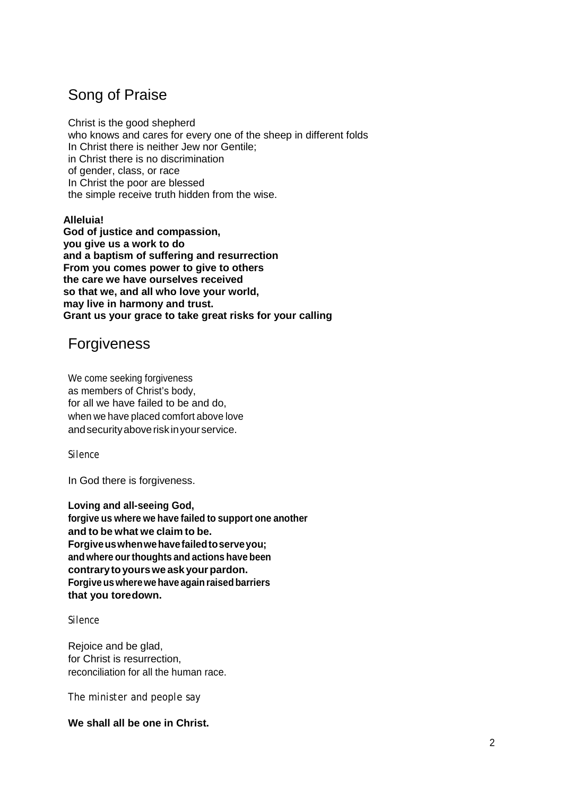# Song of Praise

Christ is the good shepherd who knows and cares for every one of the sheep in different folds In Christ there is neither Jew nor Gentile; in Christ there is no discrimination of gender, class, or race In Christ the poor are blessed the simple receive truth hidden from the wise.

**Alleluia! God of justice and compassion, you give us a work to do and a baptism of suffering and resurrection From you comes power to give to others the care we have ourselves received so that we, and all who love your world, may live in harmony and trust. Grant us your grace to take great risks for your calling**

# Forgiveness

We come seeking forgiveness as members of Christ's body, for all we have failed to be and do, when we have placed comfort above love andsecurityaboverisk inyourservice.

### *Silence*

In God there is forgiveness.

**Loving and all-seeing God, forgive us where we have failed to support one another and to be what we claim to be. Forgiveuswhenwehavefailedtoserveyou; and where ourthoughts and actions have been contrarytoyourswe ask yourpardon. Forgiveuswherewehave againraisedbarriers that you toredown.**

### *Silence*

Rejoice and be glad, for Christ is resurrection, reconciliation for all the human race.

*The minister and people say*

### **We shall all be one in Christ.**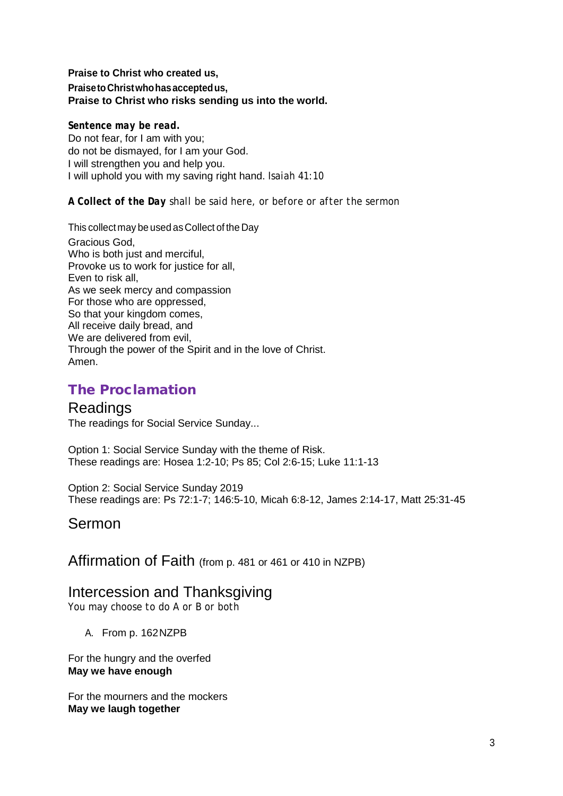### **Praise to Christ who created us, PraisetoChristwhohasacceptedus, Praise to Christ who risks sending us into the world.**

*Sentence may be read.* Do not fear, for I am with you;

do not be dismayed, for I am your God. I will strengthen you and help you. I will uphold you with my saving right hand. *Isaiah 41:10*

*A Collect of the Day shall be said here, or before or after the sermon*

This collect may be used as Collect of the Day

Gracious God, Who is both just and merciful, Provoke us to work for justice for all, Even to risk all, As we seek mercy and compassion For those who are oppressed, So that your kingdom comes, All receive daily bread, and We are delivered from evil, Through the power of the Spirit and in the love of Christ. Amen.

## The Proclamation

### Readings

The readings for Social Service Sunday...

Option 1: Social Service Sunday with the theme of Risk. These readings are: Hosea 1:2-10; Ps 85; Col 2:6-15; Luke 11:1-13

Option 2: Social Service Sunday 2019 These readings are: Ps 72:1-7; 146:5-10, Micah 6:8-12, James 2:14-17, Matt 25:31-45

# Sermon

Affirmation of Faith (from p. 481 or 461 or 410 in NZPB)

### Intercession and Thanksgiving

*You may choose to do A or B or both*

A. From p. 162NZPB

For the hungry and the overfed **May we have enough**

For the mourners and the mockers **May we laugh together**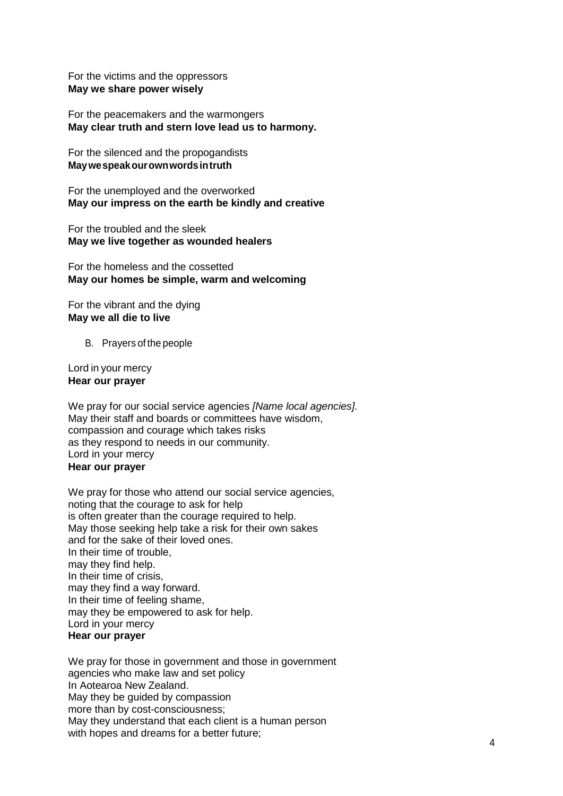For the victims and the oppressors **May we share power wisely**

For the peacemakers and the warmongers **May clear truth and stern love lead us to harmony.**

For the silenced and the propogandists **Maywespeakourownwordsintruth**

For the unemployed and the overworked **May our impress on the earth be kindly and creative**

For the troubled and the sleek **May we live together as wounded healers**

For the homeless and the cossetted **May our homes be simple, warm and welcoming**

For the vibrant and the dying **May we all die to live**

B. Prayers of the people

Lord in your mercy **Hear our prayer**

We pray for our social service agencies *[Name local agencies].* May their staff and boards or committees have wisdom, compassion and courage which takes risks as they respond to needs in our community. Lord in your mercy **Hear our prayer**

We pray for those who attend our social service agencies, noting that the courage to ask for help is often greater than the courage required to help. May those seeking help take a risk for their own sakes and for the sake of their loved ones. In their time of trouble, may they find help. In their time of crisis, may they find a way forward. In their time of feeling shame, may they be empowered to ask for help. Lord in your mercy **Hear our prayer**

We pray for those in government and those in government agencies who make law and set policy In Aotearoa New Zealand. May they be guided by compassion more than by cost-consciousness; May they understand that each client is a human person with hopes and dreams for a better future;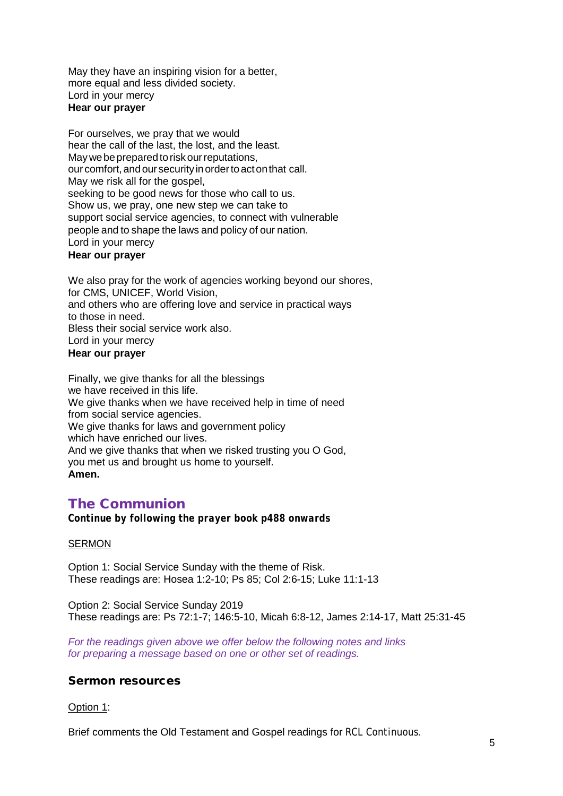May they have an inspiring vision for a better, more equal and less divided society. Lord in your mercy **Hear our prayer**

For ourselves, we pray that we would hear the call of the last, the lost, and the least. May we be prepared to risk our reputations, our comfort, and our security in order to act on that call. May we risk all for the gospel, seeking to be good news for those who call to us. Show us, we pray, one new step we can take to support social service agencies, to connect with vulnerable people and to shape the laws and policy of our nation. Lord in your mercy

### **Hear our prayer**

We also pray for the work of agencies working beyond our shores, for CMS, UNICEF, World Vision, and others who are offering love and service in practical ways to those in need. Bless their social service work also. Lord in your mercy **Hear our prayer**

Finally, we give thanks for all the blessings we have received in this life. We give thanks when we have received help in time of need from social service agencies. We give thanks for laws and government policy which have enriched our lives. And we give thanks that when we risked trusting you O God, you met us and brought us home to yourself. **Amen.**

### The Communion

*Continue by following the prayer book p488 onwards*

#### **SERMON**

Option 1: Social Service Sunday with the theme of Risk. These readings are: Hosea 1:2-10; Ps 85; Col 2:6-15; Luke 11:1-13

Option 2: Social Service Sunday 2019 These readings are: Ps 72:1-7; 146:5-10, Micah 6:8-12, James 2:14-17, Matt 25:31-45

*For the readings given above we offer below the following notes and links for preparing a message based on one or other set of readings.*

### Sermon resources

#### Option 1:

Brief comments the Old Testament and Gospel readings for *RCL Continuous*.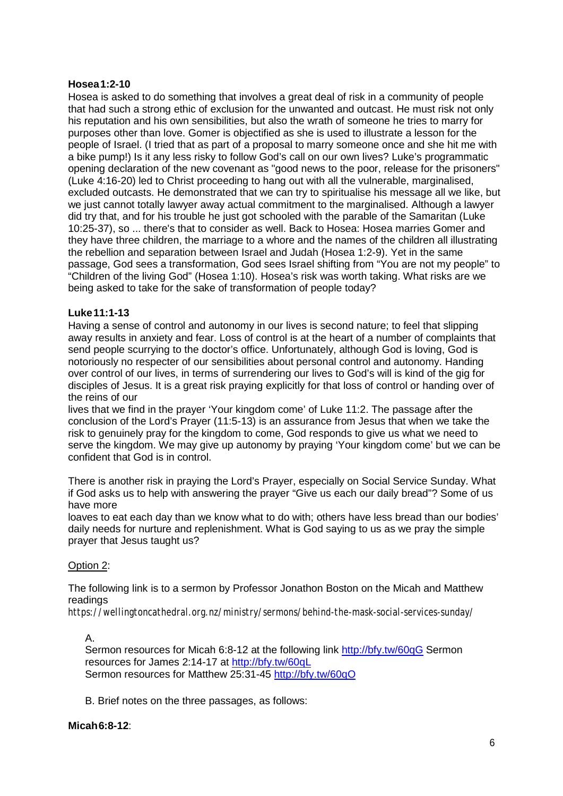### **Hosea1:2-10**

Hosea is asked to do something that involves a great deal of risk in a community of people that had such a strong ethic of exclusion for the unwanted and outcast. He must risk not only his reputation and his own sensibilities, but also the wrath of someone he tries to marry for purposes other than love. Gomer is objectified as she is used to illustrate a lesson for the people of Israel. (I tried that as part of a proposal to marry someone once and she hit me with a bike pump!) Is it any less risky to follow God's call on our own lives? Luke's programmatic opening declaration of the new covenant as "good news to the poor, release for the prisoners" (Luke 4:16-20) led to Christ proceeding to hang out with all the vulnerable, marginalised, excluded outcasts. He demonstrated that we can try to spiritualise his message all we like, but we just cannot totally lawyer away actual commitment to the marginalised. Although a lawyer did try that, and for his trouble he just got schooled with the parable of the Samaritan (Luke 10:25-37), so ... there's that to consider as well. Back to Hosea: Hosea marries Gomer and they have three children, the marriage to a whore and the names of the children all illustrating the rebellion and separation between Israel and Judah (Hosea 1:2-9). Yet in the same passage, God sees a transformation, God sees Israel shifting from "You are not my people" to "Children of the living God" (Hosea 1:10). Hosea's risk was worth taking. What risks are we being asked to take for the sake of transformation of people today?

### **Luke11:1-13**

Having a sense of control and autonomy in our lives is second nature; to feel that slipping away results in anxiety and fear. Loss of control is at the heart of a number of complaints that send people scurrying to the doctor's office. Unfortunately, although God is loving, God is notoriously no respecter of our sensibilities about personal control and autonomy. Handing over control of our lives, in terms of surrendering our lives to God's will is kind of the gig for disciples of Jesus. It is a great risk praying explicitly for that loss of control or handing over of the reins of our

lives that we find in the prayer 'Your kingdom come' of Luke 11:2. The passage after the conclusion of the Lord's Prayer (11:5-13) is an assurance from Jesus that when we take the risk to genuinely pray for the kingdom to come, God responds to give us what we need to serve the kingdom. We may give up autonomy by praying 'Your kingdom come' but we can be confident that God is in control.

There is another risk in praying the Lord's Prayer, especially on Social Service Sunday. What if God asks us to help with answering the prayer "Give us each our daily bread"? Some of us have more

loaves to eat each day than we know what to do with; others have less bread than our bodies' daily needs for nurture and replenishment. What is God saying to us as we pray the simple prayer that Jesus taught us?

### Option 2:

The following link is to a sermon by Professor Jonathon Boston on the Micah and Matthew readings

*https://wellingtoncathedral.org.nz/ministry/sermons/behind-the-mask-social-services-sunday/*

A.

Sermon resources for Micah 6:8-12 at the following link<http://bfy.tw/60qG> Sermon resources for James 2:14-17 at<http://bfy.tw/60qL> Sermon resources for Matthew 25:31-45<http://bfy.tw/60qO>

B. Brief notes on the three passages, as follows:

### **Micah6:8-12**: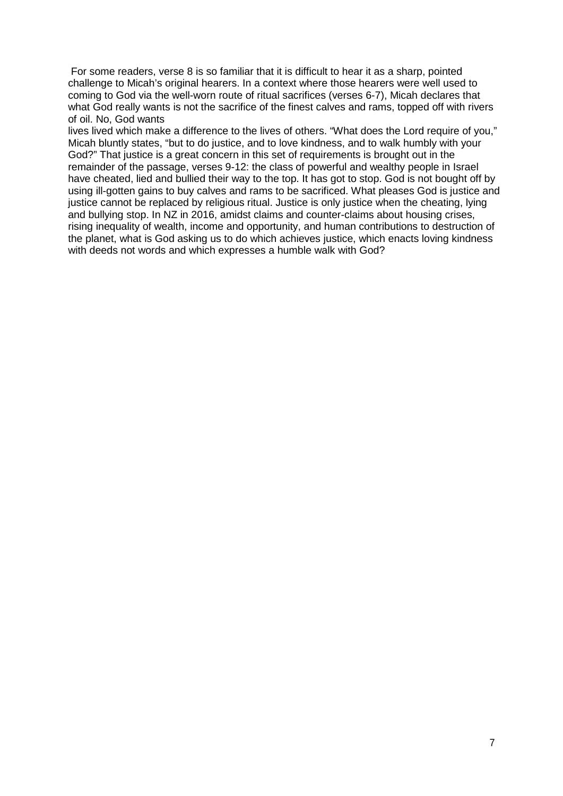For some readers, verse 8 is so familiar that it is difficult to hear it as a sharp, pointed challenge to Micah's original hearers. In a context where those hearers were well used to coming to God via the well-worn route of ritual sacrifices (verses 6-7), Micah declares that what God really wants is not the sacrifice of the finest calves and rams, topped off with rivers of oil. No, God wants

lives lived which make a difference to the lives of others. "What does the Lord require of you," Micah bluntly states, "but to do justice, and to love kindness, and to walk humbly with your God?" That justice is a great concern in this set of requirements is brought out in the remainder of the passage, verses 9-12: the class of powerful and wealthy people in Israel have cheated, lied and bullied their way to the top. It has got to stop. God is not bought off by using ill-gotten gains to buy calves and rams to be sacrificed. What pleases God is justice and justice cannot be replaced by religious ritual. Justice is only justice when the cheating, lying and bullying stop. In NZ in 2016, amidst claims and counter-claims about housing crises, rising inequality of wealth, income and opportunity, and human contributions to destruction of the planet, what is God asking us to do which achieves justice, which enacts loving kindness with deeds not words and which expresses a humble walk with God?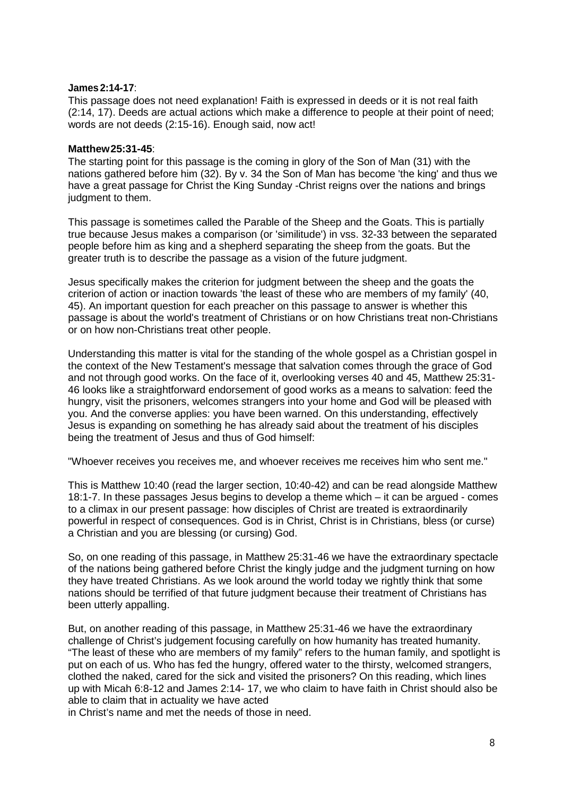#### **James2:14-17**:

This passage does not need explanation! Faith is expressed in deeds or it is not real faith (2:14, 17). Deeds are actual actions which make a difference to people at their point of need; words are not deeds (2:15-16). Enough said, now act!

#### **Matthew25:31-45**:

The starting point for this passage is the coming in glory of the Son of Man (31) with the nations gathered before him (32). By v. 34 the Son of Man has become 'the king' and thus we have a great passage for Christ the King Sunday -Christ reigns over the nations and brings judgment to them.

This passage is sometimes called the Parable of the Sheep and the Goats. This is partially true because Jesus makes a comparison (or 'similitude') in vss. 32-33 between the separated people before him as king and a shepherd separating the sheep from the goats. But the greater truth is to describe the passage as a vision of the future judgment.

Jesus specifically makes the criterion for judgment between the sheep and the goats the criterion of action or inaction towards 'the least of these who are members of my family' (40, 45). An important question for each preacher on this passage to answer is whether this passage is about the world's treatment of Christians or on how Christians treat non-Christians or on how non-Christians treat other people.

Understanding this matter is vital for the standing of the whole gospel as a Christian gospel in the context of the New Testament's message that salvation comes through the grace of God and not through good works. On the face of it, overlooking verses 40 and 45, Matthew 25:31- 46 looks like a straightforward endorsement of good works as a means to salvation: feed the hungry, visit the prisoners, welcomes strangers into your home and God will be pleased with you. And the converse applies: you have been warned. On this understanding, effectively Jesus is expanding on something he has already said about the treatment of his disciples being the treatment of Jesus and thus of God himself:

"Whoever receives you receives me, and whoever receives me receives him who sent me."

This is Matthew 10:40 (read the larger section, 10:40-42) and can be read alongside Matthew 18:1-7. In these passages Jesus begins to develop a theme which – it can be argued - comes to a climax in our present passage: how disciples of Christ are treated is extraordinarily powerful in respect of consequences. God is in Christ, Christ is in Christians, bless (or curse) a Christian and you are blessing (or cursing) God.

So, on one reading of this passage, in Matthew 25:31-46 we have the extraordinary spectacle of the nations being gathered before Christ the kingly judge and the judgment turning on how they have treated Christians. As we look around the world today we rightly think that some nations should be terrified of that future judgment because their treatment of Christians has been utterly appalling.

But, on another reading of this passage, in Matthew 25:31-46 we have the extraordinary challenge of Christ's judgement focusing carefully on how humanity has treated humanity. "The least of these who are members of my family" refers to the human family, and spotlight is put on each of us. Who has fed the hungry, offered water to the thirsty, welcomed strangers, clothed the naked, cared for the sick and visited the prisoners? On this reading, which lines up with Micah 6:8-12 and James 2:14- 17, we who claim to have faith in Christ should also be able to claim that in actuality we have acted

in Christ's name and met the needs of those in need.